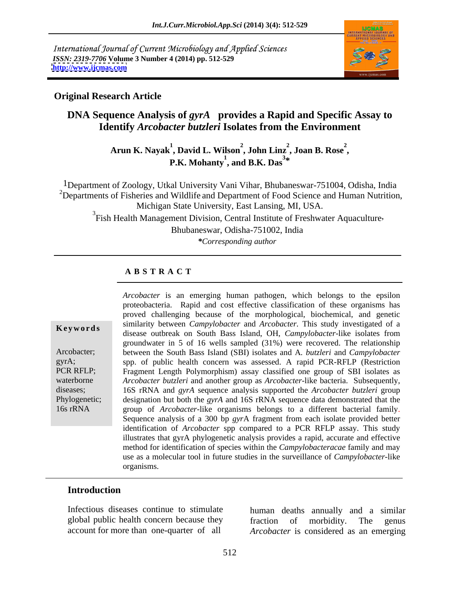International Journal of Current Microbiology and Applied Sciences *ISSN: 2319-7706* **Volume 3 Number 4 (2014) pp. 512-529 <http://www.ijcmas.com>**



### **Original Research Article**

# **DNA Sequence Analysis of** *gyrA* provides a Rapid and Specific Assay to **Identify** *Arcobacter butzleri* **Isolates from the Environment**

Arun K. Nayak<sup>1</sup>, David L. Wilson<sup>2</sup>, John Linz<sup>2</sup>, Joan B. Rose<sup>2</sup>,<br>P.K. Mohanty<sup>1</sup>, and B.K. Das<sup>3\*</sup> **, Joan B. Rose<sup>2</sup> \***

1Department of Zoology, Utkal University Vani Vihar, Bhubaneswar-751004, Odisha, India <sup>2</sup>Departments of Fisheries and Wildlife and Department of Food Science and Human Nutrition, Michigan State University, East Lansing, MI, USA.<br><sup>3</sup>Fish Health Management Division, Central Institute of Freshwater Aquaculture, Bhubaneswar, Odisha-751002, India

*\*Corresponding author* 

### **A B S T R A C T**

**Ke ywo rds** disease outbreak on South Bass Island, OH, *Campylobacter*-like isolates from Arcobacter; between the South Bass Island (SBI) isolates and A*. butzleri* and *Campylobacter*  gyrA; spp. of public health concern was assessed. A rapid PCR-RFLP (Restriction PCR RFLP; Fragment Length Polymorphism) assay classified one group of SBI isolates as waterborne *Arcobacter butzleri* and another group as *Arcobacter*-like bacteria. Subsequently, diseases; 16S rRNA and *gyrA* sequence analysis supported the *Arcobacter butzleri* group Phylogenetic; designation but both the *gyrA* and 16S rRNA sequence data demonstrated that the 16s rRNA group of *Arcobacter*-like organisms belongs to a different bacterial family. *Arcobacter* is an emerging human pathogen, which belongs to the epsilon proteobacteria. Rapid and cost effective classification of these organisms has proved challenging because of the morphological, biochemical, and genetic similarity between *Campylobacter* and *Arcobacter.* This study investigated of a groundwater in 5 of 16 wells sampled (31%) were recovered. The relationship group of *Arcobacter*-like organisms belongs to <sup>a</sup> different bacterial family. Sequence analysis of <sup>a</sup> <sup>300</sup> bp *gyr*<sup>A</sup> fragment from each isolate provided better identification of *Arcobacter* spp compared to a PCR RFLP assay. This study illustrates that gyrA phylogenetic analysis provides a rapid, accurate and effective method for identification of species within the *Campylobacteracae* family and may use as a molecular tool in future studies in the surveillance of *Campylobacter*-like organisms.

## **Introduction**

Infectious diseases continue to stimulate human deaths annually and a similar

global public health concern because they fraction of morbidity. The genus account for more than one-quarter of all *Arcobacter* is considered as an emerging fraction of morbidity. The genus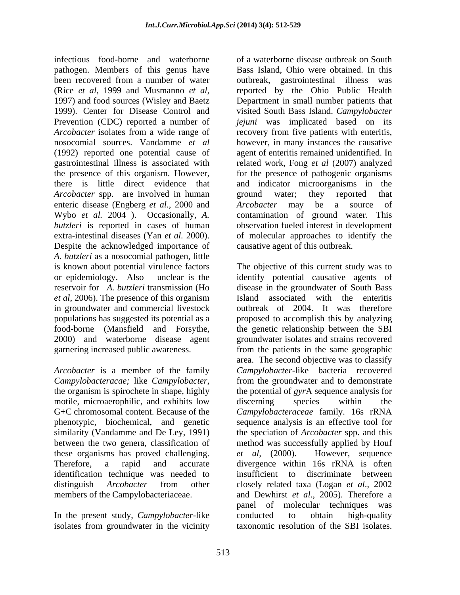infectious food-borne and waterborne pathogen. Members of this genus have been recovered from a number of water outbreak, gastrointestinal illness was (Rice *et al*, 1999 and Musmanno *et al*, reported by the Ohio Public Health 1997) and food sources (Wisley and Baetz Department in small number patients that 1999). Center for Disease Control and visited South Bass Island. *Campylobacter* Prevention (CDC) reported a number of *jejuni* was implicated based on its *Arcobacter* isolates from a wide range of recovery from five patients with enteritis, nosocomial sources. Vandamme *et al* however, in many instances the causative (1992) reported one potential cause of agent of enteritis remained unidentified. In gastrointestinal illness is associated with related work, Fong *et al* (2007) analyzed the presence of this organism. However, for the presence of pathogenic organisms there is little direct evidence that and indicator microorganisms in the *Arcobacter* spp. are involved in human ground water; they reported that enteric disease (Engberg *et al.*, 2000 and Arcobacter may be a source of Wybo *et al.* 2004 ). Occasionally, *A.*  contamination of ground water. This *butzleri* is reported in cases of human observation fueled interest in development extra-intestinal diseases (Yan *et al.* 2000). of molecular approaches to identify the Despite the acknowledged importance of *A. butzleri* as a nosocomial pathogen, little *et al*, 2006). The presence of this organism in groundwater and commercial livestock

*Arcobacter* is a member of the family *Campylobacteracae*; like *Campylobacter*, similarity (Vandamme and De Ley, 1991) these organisms has proved challenging. *et al.* (2000). However, sequence Therefore, a rapid and accurate divergence within 16s rRNA is often

In the present study, *Campylobacter-*like isolates from groundwater in the vicinity

of a waterborne disease outbreak on South Bass Island, Ohio were obtained. In this ground water; they reported that *Arcobacter* may be a source of causative agent of this outbreak.

is known about potential virulence factors The objective of this current study was to or epidemiology. Also unclear is the identify potential causative agents of reservoir for *A. butzleri* transmission (Ho disease in the groundwater of South Bass populations has suggested its potential as a proposed to accomplish this by analyzing food-borne (Mansfield and Forsythe, the genetic relationship between the SBI<br>2000) and waterborne disease agent groundwater isolates and strains recovered garnering increased public awareness. from the patients in the same geographic *Campylobacteracae;* like *Campylobacter*, from the groundwater and to demonstrate the organism is spirochete in shape, highly the potential of *gyrA* sequence analysis for motile, microaerophilic, and exhibits low discerning species within the G+C chromosomal content. Because of the *Campylobacteraceae* family. 16s rRNA phenotypic, biochemical, and genetic sequence analysis is an effective tool for between the two genera, classification of method was successfully applied by Houf identification technique was needed to insufficient to discriminate between distinguish *Arcobacter* from other closely related taxa (Logan *et al*., 2002 members of the Campylobacteriaceae. and Dewhirst *et al*., 2005). Therefore a Island associated with the enteritis outbreak of 2004. It was therefore the genetic relationship between the SBI groundwater isolates and strains recovered area. The second objective was to classify *Campylobacter*-like bacteria recovered from the groundwater and to demonstrate the potential of *gyr*A sequence analysis for discerning species within the the speciation of *Arcobacter* spp. and this *et al,* (2000). However, sequence divergence within 16s rRNA is often panel of molecular techniques was conducted to obtain high-quality taxonomic resolution of the SBI isolates.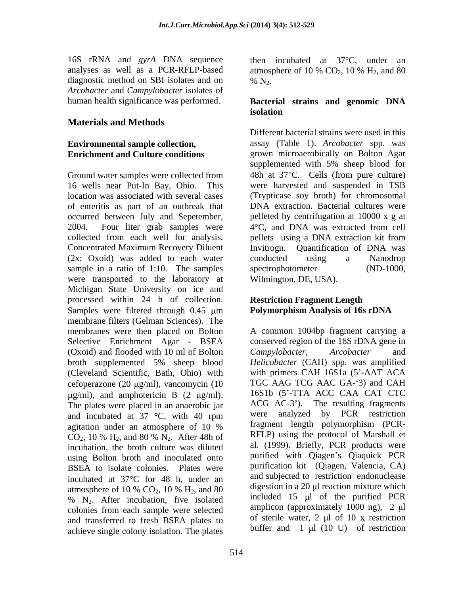16S rRNA and *gyrA* DNA sequence analyses as well as a PCR-RFLP-based atmosphere of 10 %  $CO<sub>2</sub>$ , 10 %  $H<sub>2</sub>$ , and 80 diagnostic method on SBI isolates and on  $\%$  N<sub>2</sub>. *Arcobacter* and *Campylobacter* isolates of

## **Materials and Methods**

of enteritis as part of an outbreak that occurred between July and Sepetember, collected from each well for analysis. pellets using a DNA extraction kit from Concentrated Maximum Recovery Diluent Invitrogn. Quantification of DNA was (2x; Oxoid) was added to each water conducted using a Nanodrop sample in a ratio of 1:10. The samples spectrophotometer (ND-1000, were transported to the laboratory at Michigan State University on ice and processed within 24 h of collection. Samples were filtered through  $0.45 \mu m$  Polymorphism Analysis of 16s rDNA membrane filters (Gelman Sciences). The Selective Enrichment Agar - BSEA (Oxoid) and flooded with 10 ml of Bolton Campylobacter, Arcobacter and broth supplemented 5% sheep blood (Cleveland Scientific, Bath, Ohio) with cefoperazone (20  $\mu$ g/ml), vancomycin (10  $\mu$ g/ml), and amphotericin B (2  $\mu$ g/ml). The plates were placed in an anaerobic jar  $\overline{ACG}$  AC-3'). The resulting fragments and incubated at 37 °C with 40 rpm were analyzed by PCR restriction and incubated at  $37 \text{ °C}$ , with  $40 \text{ rpm}$  were CO<sub>2</sub>, 10 % H<sub>2</sub>, and 80 % N<sub>2</sub>. After 48h of incubation, the broth culture was diluted using Bolton broth and inoculated onto BSEA to isolate colonies. Plates were incubated at  $37^{\circ}$ C for 48 h, under an  $\%$  N<sub>2</sub>. After incubation, five isolated colonies from each sample were selected and transferred to fresh BSEA plates to achieve single colony isolation. The plates

then incubated at  $37^{\circ}$ C, under an atmosphere of 10 %  $CO<sub>2</sub>$ , 10 %  $H<sub>2</sub>$ , and 80 %  $N_2$ .

## human health significance was performed. **Bacterial strains and genomic DNA isolation**

**Environmental sample collection,**  assay (Table 1). *Arcobacter* spp. was **Enrichment and Culture conditions** grown microaerobically on Bolton Agar Ground water samples were collected from 48h at 37°C. Cells (from pure culture) 16 wells near Put-In Bay, Ohio. This were harvested and suspended in TSB location was associated with several cases (Trypticase soy broth) for chromosomal 2004. Four liter grab samples were  $4^{\circ}C$ , and DNA was extracted from cell Different bacterial strains were used in this supplemented with 5% sheep blood for DNA extraction. Bacterial cultures were pelleted by centrifugation at 10000 x g at pellets using a DNA extraction kit from Invitrogn. Quantification of DNA was conducted using a Nanodrop spectrophotometer Wilmington, DE, USA).

## **Restriction Fragment Length Polymorphism Analysis of 16s rDNA**

membranes were then placed on Bolton A common 1004bp fragment carrying a agitation under an atmosphere of 10 % fragment length polymorphism (PCRatmosphere of 10 %  $CO_2$ , 10 %  $H_2$ , and 80 algestion in a 20  $\mu$  reaction mixture which conserved region of the 16S rDNA gene in *Campylobacter*, *Arcobacter* and *Helicobacter* (CAH) spp. was amplified with primers CAH 16S1a (5'-AAT ACA TGC AAG TCG AAC GA-'3) and CAH 16S1b (5'-TTA ACC CAA CAT CTC ACG AC-3<sup>'</sup>). The resulting fragments were analyzed by PCR restriction fragment length polymorphism (PCR- RFLP) using the protocol of Marshall et al. (1999). Briefly, PCR products were purified with Oiagen's Oiaquick PCR purification kit (Qiagen, Valencia, CA) and subjected to restriction endonuclease digestion in a  $20 \mu l$  reaction mixture which included 15  $\mu$ l of the purified PCR amplicon (approximately 1000 ng),  $2 \mu l$ of sterile water,  $2 \text{ ul of } 10 \text{ x restriction}$ buffer and  $1 \mu l$  (10 U) of restriction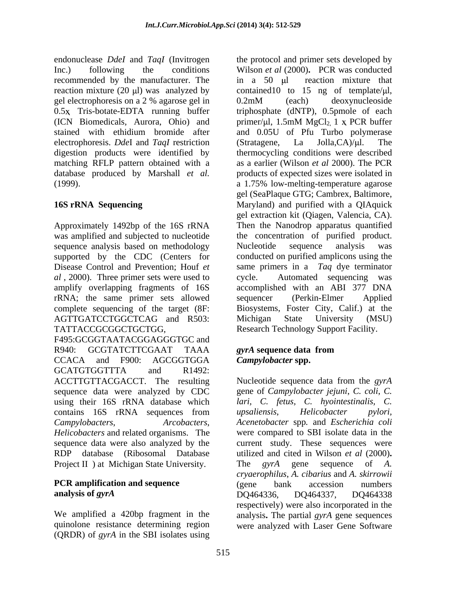recommended by the manufacturer. The <br>in a 50 ul reaction mixture that (ICN Biomedicals, Aurora, Ohio) and electrophoresis. *Dde*I and *TaqI* restriction digestion products were identified by (1999). a 1.75% low-melting-temperature agarose

Approximately 1492bp of the 16S rRNA was amplified and subjected to nucleotide sequence analysis based on methodology Mucleotide sequence analysis was supported by the CDC (Centers for conducted on purified amplicons using the Disease Control and Prevention; Houf *et*  same primers in a *Taq* dye terminator *al* , 2000). Three primer sets were used to amplify overlapping fragments of 16S rRNA; the same primer sets allowed complete sequencing of the target (8F: Biosystems, Foster City, Calif.) at the AGTTGATCCTGGCTCAG and R503: Michigan State University (MSU) TATTACCGCGGCTGCTGG, Research Technology Support Facility. F495:GCGGTAATACGGAGGGTGC and R940: GCGTATCTTCGAAT TAAA *gyrA* sequence data from CCACA and F900: AGCGGTGGA *Campylobacter* spp. GCATGTGGTTTA and R1492: ACCTTGTTACGACCT. The resulting sequence data were analyzed by CDC using their 16S rRNA database which contains 16S rRNA sequences from *upsaliensis*, *Helicobacter pylori*, *Campylobacters*, *Arcobacters*,

sequence data were also analyzed by the Project II ) at Michigan State University. The *gyrA* gene sequence of A.

quinolone resistance determining region were analyzed with Laser Gene Software(QRDR) of *gyrA* in the SBI isolates using

endonuclease *DdeI* and *TaqI* (Invitrogen the protocol and primer sets developed by Inc.) following the conditions Wilson *et al* (2000)**.** PCR was conducted reaction mixture (20  $\mu$ ) was analyzed by contained 10 to 15 ng of template/ $\mu$ l, gel electrophoresis on a 2 % agarose gel in 0.5x Tris-botate-EDTA running buffer triphosphate (dNTP), 0.5pmole of each stained with ethidium bromide after and 0.05U of Pfu Turbo polymerase matching RFLP pattern obtained with a as a earlier (Wilson *et al* 2000). The PCR database produced by Marshall *et al.* products of expected sizes were isolated in **16S rRNA Sequencing**  Maryland) and purified with a QIAquick in a 50  $\mu$  reaction mixture that 0.2mM (each) deoxynucleoside primer/ $\mu$ l, 1.5mM MgCl<sub>2,</sub> 1 x PCR buffer (Stratagene, La Jolla, $CA$ )/ $\mu$ l. The thermocycling conditions were described a 1.75% low-melting-temperature agarose gel (SeaPlaque GTG; Cambrex, Baltimore, gel extraction kit (Qiagen, Valencia, CA). Then the Nanodrop apparatus quantified the concentration of purified product. Nucleotide sequence analysis was Automated sequencing was accomplished with an ABI 377 DNA sequencer (Perkin-Elmer Applied Michigan State University (MSU)

## *gyrA* **sequence data from** *Campylobacter* **spp.**

*Helicobacters* and related organisms. The were compared to SBI isolate data in the RDP database (Ribosomal Database utilized and cited in Wilson *et al* (2000)**. PCR amplification and sequence**  $\qquad \qquad$  (gene bank accession numbers) **analysis of** *gyrA* We amplified a 420bp fragment in the analysis**.** The partial *gyrA* gene sequences Nucleotide sequence data from the *gyrA* gene of *Campylobacter jejuni*, *C. coli*, *C. lari, C. fetus, C. hyointestinalis, C. upsaliensis*, *Helicobacter pylori, Acenetobacter* spp*.* and *Escherichia coli* current study. These sequences were The *gyrA* gene sequence of *A. cryaerophilus*, *A. cibarius* and *A. skirrowii* (gene bank accession numbers DQ464336, DQ464337, DQ464338 respectively) were also incorporated in the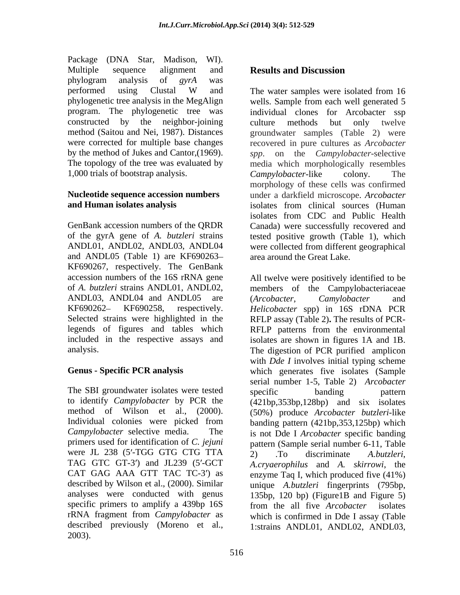Package (DNA Star, Madison, WI). Multiple sequence alignment and **Results and Discussion** phylogram analysis of *gyrA* was constructed by the neighbor-joining The topology of the tree was evaluated by 1,000 trials of bootstrap analysis. Campylobacter-like colony. The

and ANDL05 (Table 1) are KF690263 KF690267, respectively. The GenBank ANDL03, ANDL04 and ANDL05 are (Arcobacter, Camylobacter and

The SBI groundwater isolates were tested specific banding pattern to identify *Campylobacter* by PCR the primers used for identification of *C. jejuni* were JL 238 (5'-TGG GTG CTG TTA $\overline{2}$ ) . To discriminate A.butzleri, TAG GTC GT-3') and JL239 (5'-GCT described by Wilson et al., (2000). Similar specific primers to amplify a 439bp 16S from the all five *Arcobacter* isolates described previously (Moreno et al., 1:strains ANDL01, ANDL02, ANDL03,2003).

# **Results and Discussion**

performed using Clustal W and The water samples were isolated from 16 phylogenetic tree analysis in the MegAlign wells. Sample from each well generated 5 program. The phylogenetic tree was individual clones for Arcobacter ssp method (Saitou and Nei, 1987). Distances groundwater samples (Table 2) were were corrected for multiple base changes recovered in pure cultures as *Arcobacter* by the method of Jukes and Cantor,(1969). *spp*. on the *Campylobacter*-selective **Nucleotide sequence accession numbers**  under a darkfield microscope. *Arcobacter*  **and Human isolates analysis** isolates from clinical sources (Human GenBank accession numbers of the QRDR Canada) were successfully recovered and of the gyrA gene of *A. butzleri* strains tested positive growth (Table 1), which ANDL01, ANDL02, ANDL03, ANDL04 were collected from different geographical The water samples were isolated from 16 culture methods but only twelve media which morphologically resembles *Campylobacter-*like colony. The morphology of these cells was confirmed isolates from CDC and Public Health area around the Great Lake.

accession numbers of the 16S rRNA gene All twelve were positively identified to be of *A. butzleri* strains ANDL01, ANDL02, members of the Campylobacteriaceae KF690262 KF690258, respectively. *Helicobacter* spp) in 16S rDNA PCR Selected strains were highlighted in the RFLP assay (Table 2)**.** The results of PCR legends of figures and tables which RFLP patterns from the environmental included in the respective assays and isolates are shown in figures 1A and 1B. analysis. The digestion of PCR purified amplicon **Genus - Specific PCR analysis** which generates five isolates (Sample method of Wilson et al., (2000). (50%) produce *Arcobacter butzleri*-like<br>Individual colonies were picked from banding pattern (421bp, 353, 125bp) which *Campylobacter* selective media. The is not Dde I *Arcobacter* specific banding CAT GAG AAA GTT TAC TC-3') as enzyme Taq I, which produced five (41%) analyses were conducted with genus 135bp, 120 bp) (Figure1B and Figure 5) rRNA fragment from *Campylobacter* as which is confirmed in Dde I assay (Table (*Arcobacter*, *Camylobacter* and with *Dde I* involves initial typing scheme serial number 1-5, Table 2) *Arcobacter* specific banding pattern (421bp,353bp,128bp) and six isolates (50%) produce *Arcobacter butzleri*-like banding pattern (421bp,353,125bp) which pattern (Sample serial number 6-11, Table 2) .To discriminate *A.butzleri*, *A.cryaerophilus* and *A. skirrowi*, the unique *A.butzleri* fingerprints (795bp, from the all five *Arcobacter* isolates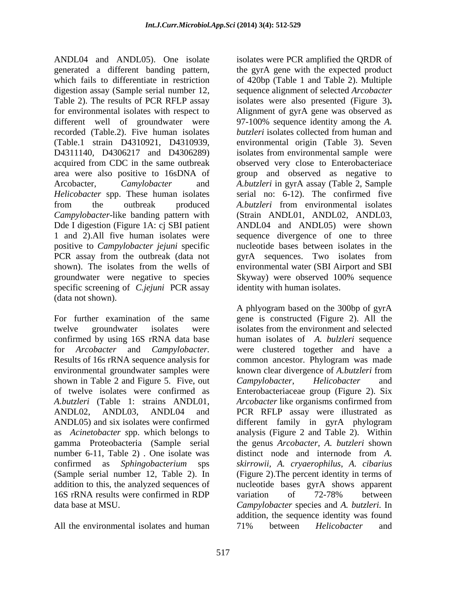ANDL04 and ANDL05). One isolate isolates were PCR amplified the QRDR of generated a different banding pattern, the gyrA gene with the expected product which fails to differentiate in restriction of 420bp (Table 1 and Table 2). Multiple digestion assay (Sample serial number 12, sequence alignment of selected *Arcobacter*  Table 2). The results of PCR RFLP assay for environmental isolates with respect to Alignment of gyrA gene was observed as different well of groundwater were 97-100% sequence identity among the *A.*  recorded (Table.2). Five human isolates *butzleri* isolates collected from human and (Table.1 strain D4310921, D4310939, environmental origin (Table 3). Seven D4311140, D4306217 and D4306289) isolates from environmental sample were acquired from CDC in the same outbreak area were also positive to 16sDNA of group and observed as negative to Arcobacter, *Camylobacter* and *A.butzleri* in gyrA assay (Table 2, Sample *Helicobacter* spp. These human isolates serial no: 6-12). The confirmed five from the outbreak produced *A.butzleri* from environmental isolates *Campylobacter-*like banding pattern with (Strain ANDL01, ANDL02, ANDL03, Dde I digestion (Figure 1A: cj SBI patient ANDL04 and ANDL05) were shown 1 and 2).All five human isolates were sequence divergence of one to three positive to *Campylobacter jejuni* specific nucleotide bases between isolates in the PCR assay from the outbreak (data not gyrA sequences. Two isolates from shown). The isolates from the wells of environmental water (SBI Airport and SBI groundwater were negative to species Skyway) were observed 100% sequence specific screening of *C.jejuni* PCR assay (data not shown).

For further examination of the same gene is constructed (Figure 2). All the twelve groundwater isolates were isolates from the environment and selected confirmed by using 16S rRNA data base human isolates of *A. bulzleri* sequence for *Arcobacter* and *Campylobacter.* were clustered together and have a Results of 16s rRNA sequence analysis for common ancestor. Phylogram was made environmental groundwater samples were known clear divergence of *A.butzleri* from shown in Table 2 and Figure 5. Five, out Campylobacter, Helicobacter and of twelve isolates were confirmed as Enterobacteriaceae group (Figure 2). Six *A.butzleri* (Table 1: strains ANDL01, *Arcobacter* like organisms confirmed from ANDL02, ANDL03, ANDL04 and PCR RFLP assay were illustrated as ANDL05) and six isolates were confirmed different family in gyrA phylogram as *Acinetobacter s*pp. which belongs to analysis (Figure 2 and Table 2). Within gamma Proteobacteria (Sample serial the genus *Arcobacter, A. butzleri* shown number 6-11, Table 2) . One isolate was distinct node and internode from *A.*  confirmed as *Sphingobacterium* sps *skirrowii, A. cryaerophilus*, *A. cibarius* (Sample serial number 12, Table 2). In (Figure 2).The percent identity in terms of addition to this, the analyzed sequences of nucleotide bases gyrA shows apparent 16S rRNA results were confirmed in RDP data base at MSU. *Campylobacter* species and *A. butzleri.* In

All the environmental isolates and human and  $71\%$  between *Helicobacter* and

isolates were also presented (Figure 3)**.** *butzleri* isolates collected from human and observed very close to Enterobacteriace *A.butzleri* from environmental isolates gyrA sequences. Two isolates from Skyway) were observed 100% sequence identity with human isolates.

A phlyogram based on the 300bp of gyrA isolates from the environment and selected *Campylobacter*, *Helicobacter* and variation of 72-78% between addition, the sequence identity was found 71% between *Helicobacter* and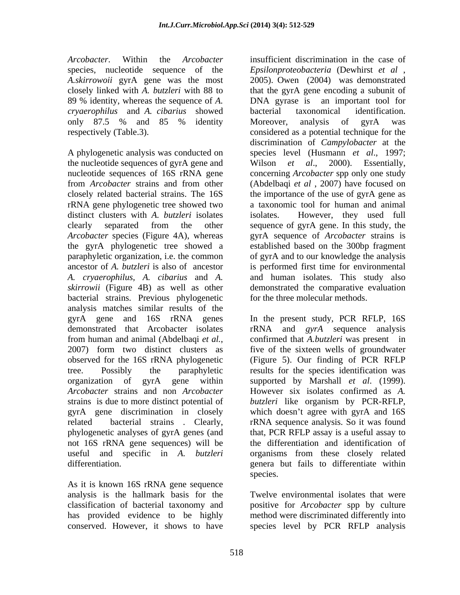*A.skirrowoii* gyrA gene was the most *cryaerophilus* and *A. cibarius* showed

A phylogenetic analysis was conducted on the nucleotide sequences of gyrA gene and Wilson et al., 2000). Essentially, distinct clusters with *A. butzleri* isolates isolates. However, they used full *skirrowii* (Figure 4B) as well as other bacterial strains. Previous phylogenetic analysis matches similar results of the observed for the 16S rRNA phylogenetic phylogenetic analyses of gyrA genes (and not 16S rRNA gene sequences) will be

As it is known 16S rRNA gene sequence analysis is the hallmark basis for the classification of bacterial taxonomy and positive for *Arcobacter* spp by culture has provided evidence to be highly method were discriminated differently into conserved. However, it shows to have species level by PCR RFLP analysis

*Arcobacter*. Within the *Arcobacter* insufficient discrimination in the case of species, nucleotide sequence of the *Epsilonproteobacteria* (Dewhirst *et al* , closely linked with *A. butzleri* with 88 to that the gyrA gene encoding a subunit of 89 % identity, whereas the sequence of *A.*  DNA gyrase is an important tool for only 87.5 % and 85 % identity Moreover, analysis of gyrA was respectively (Table.3). considered as a potential technique for the nucleotide sequences of 16S rRNA gene concerning *Arcobacter* spp only one study from *Arcobacter* strains and from other closely related bacterial strains. The 16S the importance of the use of gyrA gene as rRNA gene phylogenetic tree showed two a taxonomic tool for human and animal clearly separated from the other sequence of gyrA gene. In this study, the *Arcobacter* species (Figure 4A), whereas gyrA sequence of *Arcobacter* strains is the gyrA phylogenetic tree showed a established based on the 300bp fragment paraphyletic organization, i.e. the common of gyrA and to our knowledge the analysis ancestor of *A. butzleri* is also of ancestor is performed first time for environmental *A. cryaerophilus, A. cibarius* and *A.*  and human isolates. This study also 2005). Owen (2004) was demonstrated bacterial taxonomical identification. Moreover, analysis of gyrA was discrimination of *Campylobacter* at the species level (Husmann *et al*., 1997; Wilson *et al*., 2000). Essentially, (Abdelbaqi *et al*, 2007) have focused on isolates. However, they used full demonstrated the comparative evaluation for the three molecular methods.

gyrA gene and 16S rRNA genes In the present study, PCR RFLP, 16S demonstrated that Arcobacter isolates rRNA and *gyrA* sequence analysis from human and animal (Abdelbaqi *et al.*, confirmed that *A.butzleri* was present in 2007) form two distinct clusters as five of the sixteen wells of groundwater tree. Possibly the paraphyletic results for the species identification was organization of gyrA gene within supported by Marshall *et al*. (1999). *Arcobacter* strains and non *Arcobacter*  However six isolates confirmed as *A.*  strains is due to more distinct potential of *butzleri* like organism by PCR-RFLP, gyrA gene discrimination in closely which doesn't agree with gyrA and 16S related bacterial strains . Clearly, rRNA sequence analysis. So it was found useful and specific in *A. butzleri* organisms from these closely related differentiation. genera but fails to differentiate within confirmed that *A.butzleri* was present in five of the sixteen wells of groundwater (Figure 5). Our finding of PCR RFLP that, PCR RFLP assay is a useful assay to the differentiation and identification of species.

Twelve environmental isolates that were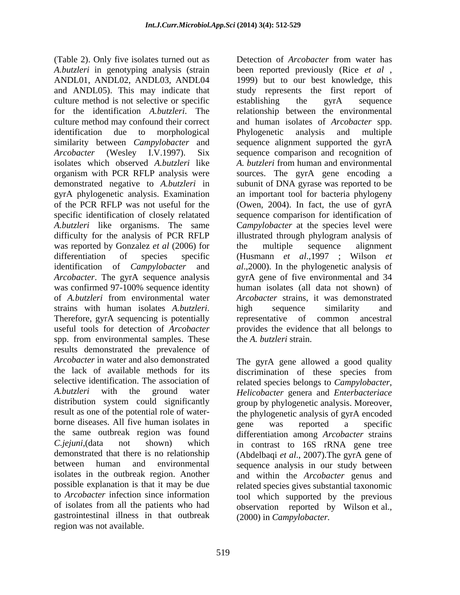*A.butzleri* in genotyping analysis (strain been reported previously (Rice *et al* , ANDL01, ANDL02, ANDL03, ANDL04 1999) but to our best knowledge, this and ANDL05). This may indicate that culture method is not selective or specific establishing the gyrA sequence for the identification *A.butzleri*. The relationship between the environmental culture method may confound their correct and human isolates of *Arcobacter* spp. identification due to morphological similarity between *Campylobacter* and sequence alignment supported the gyrA *Arcobacter* (Wesley I.V.1997). Six sequence comparison and recognition of isolates which observed *A.butzleri* like A. butzleri from human and environmental organism with PCR RFLP analysis were sources. The gyrA gene encoding a demonstrated negative to *A.butzleri* in subunit of DNA gyrase was reported to be gyrA phylogenetic analysis. Examination of the PCR RFLP was not useful for the (Owen, 2004). In fact, the use of gyrA specific identification of closely relatated sequence comparison for identification of *A.butzleri* like organisms. The same C*ampylobacter* at the species level were difficulty for the analysis of PCR RFLP illustrated through phylogram analysis of was reported by Gonzalez *et al* (2006) for the multiple sequence alignment differentiation of species specific (Husmann *et al.*, 1997; Wilson *et* identification of *Campylobacter* and *al*.,2000). In the phylogenetic analysis of *Arcobacter*. The gyrA sequence analysis gyrA gene of five environmental and 34 was confirmed 97-100% sequence identity of *A.butzleri* from environmental water *Arcobacter* strains, it was demonstrated strains with human isolates *A.butzleri*. high sequence similarity and<br>Therefore, gyrA sequencing is potentially representative of common ancestral useful tools for detection of *Arcobacter*  spp. from environmental samples. These results demonstrated the prevalence of Arcobacter in water and also demonstrated The gyrA gene allowed a good quality the lack of available methods for its discrimination of these species from selective identification. The association of related species belongs to *Campylobacter*, *A.butzleri* with the ground water *Helicobacter* genera and *Enterbacteriace*  distribution system could significantly group by phylogenetic analysis. Moreover, result as one of the potential role of water- the phylogenetic analysis of gyrA encoded borne diseases. All five human isolates in energy was reported a specific the same outbreak region was found differentiation among *Arcobacter* strains *C.jejuni*,(data not shown) which in contrast to 16S rRNA gene tree demonstrated that there is no relationship (Abdelbaqi *et al*., 2007).The gyrA gene of between human and environmental sequence analysis in our study between isolates in the outbreak region. Another and within the *Arcobacter* genus and possible explanation is that it may be due related species gives substantial taxonomic to *Arcobacter* infection since information tool which supported by the previous of isolates from all the patients who had observation reported by Wilson et al., gastrointestinal illness in that outbreak region was not available.

(Table 2). Only five isolates turned out as Detection of *Arcobacter* from water has Detection of *Arcobacter* from water has study represents the first report of establishing the gyrA sequence and human isolates of *Arcobacter* spp. Phylogenetic analysis and multiple *A. butzleri* from human and environmental an important tool for bacteria phylogeny the multiple sequence alignment human isolates (all data not shown) of high sequence similarity and representative of common ancestral provides the evidence that all belongs to the *A. butzleri* strain.

> gene was reported a specific (2000) in *Campylobacter.*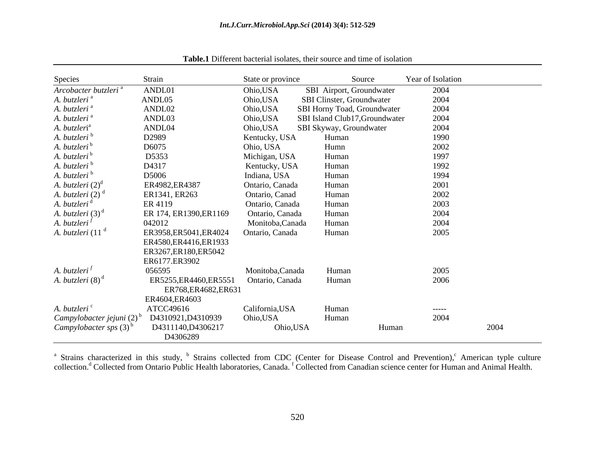| Species                          | Strain                                         | State or province | Source                         |       | Year of Isolation |      |
|----------------------------------|------------------------------------------------|-------------------|--------------------------------|-------|-------------------|------|
| Arcobacter butzleri <sup>a</sup> | ANDL01                                         | Ohio,USA          | SBI Airport, Groundwater       |       | 2004              |      |
| A. butzleri <sup>a</sup>         | ANDL05                                         | Ohio, USA         | SBI Clinster, Groundwater      |       | 2004              |      |
| A. butzleri <sup>a</sup>         | ANDL02                                         | Ohio,USA          | SBI Horny Toad, Groundwater    |       | 2004              |      |
| A. butzleri <sup>a</sup>         | ANDL03                                         | Ohio,USA          | SBI Island Club17, Groundwater |       | 2004              |      |
| A. butzleri <sup>a</sup>         | ANDL04                                         | Ohio,USA          | SBI Skyway, Groundwater        |       | 2004              |      |
| A. butzleri b                    | D2989                                          | Kentucky, USA     | Human                          |       | 1990              |      |
| A. butzleri <sup>b</sup>         | D6075                                          | Ohio, USA         | Humn                           |       | 2002              |      |
| A. butzleri <sup>b</sup>         | D5353                                          | Michigan, USA     | Human                          |       | 1997              |      |
| A. butzleri <sup>b</sup>         | D4317                                          | Kentucky, USA     | Human                          |       | 1992              |      |
| A. butzleri <sup>b</sup>         | D5006                                          | Indiana, USA      | Human                          |       | 1994              |      |
| A. butzleri $(2)^d$              | ER4982, ER4387                                 | Ontario, Canada   | Human                          |       | 2001              |      |
| A. butzleri $(2)$ <sup>c</sup>   | ER1341, ER263                                  | Ontario, Canad    | Human                          |       | 2002              |      |
| A. butzleri <sup>d</sup>         | ER 4119                                        | Ontario, Canada   | Human                          |       | 2003              |      |
| A. butzleri $(3)^d$              | ER 174, ER1390, ER1169                         | Ontario, Canada   | Human                          |       | 2004              |      |
| A. butzleri <sup> j</sup>        | 042012                                         | Monitoba, Canada  | Human                          |       | 2004              |      |
|                                  | ER3958, ER5041, ER4024                         | Ontario, Canada   | Human                          |       | 2005              |      |
| A. butzleri (11 <sup>d</sup>     |                                                |                   |                                |       |                   |      |
|                                  | ER4580, ER4416, ER1933                         |                   |                                |       |                   |      |
|                                  | ER3267, ER180, ER5042                          |                   |                                |       |                   |      |
| A. butzleri $^f$                 | ER6177.ER3902<br>056595                        |                   |                                |       |                   |      |
|                                  |                                                | Monitoba, Canada  | Human                          |       | 2005              |      |
| A. butzleri (8) <sup>d</sup>     | ER5255, ER4460, ER5551<br>ER768, ER4682, ER631 | Ontario, Canada   | Human                          |       | 2006              |      |
|                                  | ER4604,ER4603                                  |                   |                                |       |                   |      |
| A. butzleri <sup>c</sup>         | ATCC49616                                      | California, USA   | Human                          |       | -----             |      |
| Campylobacter jejuni $(2)^b$     | D4310921, D4310939                             | Ohio,USA          | Human                          |       | 2004              |      |
| Campylobacter sps $(3)^{d}$      | D4311140, D4306217                             | Ohio,USA          |                                | Human |                   | 2004 |
|                                  | D4306289                                       |                   |                                |       |                   |      |

**Table.1** Different bacterial isolates, their source and time of isolation

<sup>a</sup> Strains characterized in this study, <sup>b</sup> Strains collected from CDC (Center for Disease Control and Prevention), American typle culture collection.<sup>d</sup> Collected from Ontario Public Health laboratories, Canada. <sup>f</sup> Collected from Canadian science center for Human and Animal Health.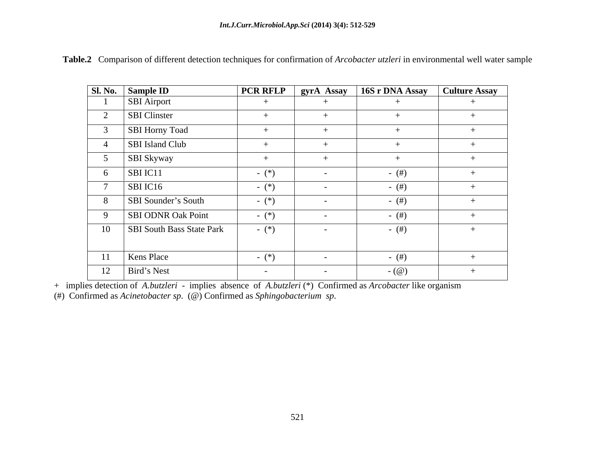|    | Sl. No. Sample ID                | <b>PCR RFLP</b> |                          | gyrA Assay 16S r DNA Assay Culture Assay |     |
|----|----------------------------------|-----------------|--------------------------|------------------------------------------|-----|
|    | <b>SBI</b> Airport               |                 |                          |                                          |     |
|    | <b>SBI</b> Clinster              |                 |                          | $^{+}$                                   |     |
|    | SBI Horny Toad                   |                 |                          |                                          |     |
|    | <b>SBI</b> Island Club           |                 |                          |                                          |     |
|    | <b>SBI Skyway</b>                |                 |                          |                                          |     |
|    | SBI IC11                         | $ (*)$          | $\sim$                   | $-$ (#)                                  |     |
|    | SBI IC16                         | $-$ (*)         | $\overline{\phantom{0}}$ | $-$ (#)                                  |     |
| 8  | SBI Sounder's South              | $ (*)$          | $\sim$                   | $-$ (#)                                  |     |
|    | <b>SBI ODNR Oak Point</b>        | $ (*)$          | $\overline{\phantom{0}}$ | $-$ (#)                                  |     |
| 10 | <b>SBI South Bass State Park</b> | $ (*)$          | $\sim$                   | $-$ (#)                                  | $+$ |
|    |                                  |                 |                          |                                          |     |
| 11 | <b>Kens Place</b>                | $ (*)$          | $\sim$                   | $-$ (#)                                  |     |
|    | $12$   Bird's Nest               | $\sim$ $-$      | $\sim$                   | - $(\omega)$                             |     |

**Table.2** Comparison of different detection techniques for confirmation of *Arcobacter utzleri* in environmental well water sample

+ implies detection of *A.butzleri* - implies absence of *A.butzleri* (\*) Confirmed as *Arcobacter* like organism

(#) Confirmed as *Acinetobacter sp*. (@) Confirmed as *Sphingobacterium sp*.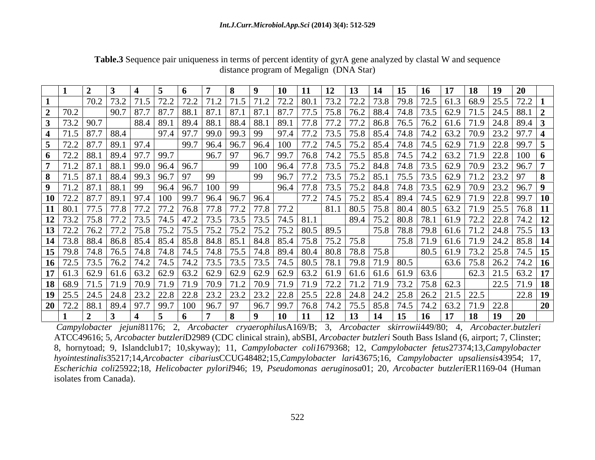|         |                             |                                                                                                                                                            |              |      |             |               |                                                    |                   | 14   | 15               | <b>16</b>                                                                  | $18 \quad 19$ | <b>20</b>                                                                                                                                                                                                                     |                 |
|---------|-----------------------------|------------------------------------------------------------------------------------------------------------------------------------------------------------|--------------|------|-------------|---------------|----------------------------------------------------|-------------------|------|------------------|----------------------------------------------------------------------------|---------------|-------------------------------------------------------------------------------------------------------------------------------------------------------------------------------------------------------------------------------|-----------------|
|         |                             |                                                                                                                                                            |              |      |             |               |                                                    | 80.1 73.2         |      |                  |                                                                            |               | 72.2   73.8   79.8   72.5   61.3   68.9   25.5   72.2   1                                                                                                                                                                     |                 |
|         | 70.2                        |                                                                                                                                                            |              |      |             |               |                                                    |                   |      |                  |                                                                            |               | 77.5   75.8   76.2   88.4   74.8   73.5   62.9   71.5   24.5   88.1   2                                                                                                                                                       |                 |
|         | 73.2                        | 88.4                                                                                                                                                       |              |      |             |               | 89.1                                               |                   |      |                  |                                                                            |               | 77.8   77.2   77.2   86.8   76.5   76.2   61.6   71.9   24.8   89.4   3                                                                                                                                                       |                 |
|         | $71.5$ 87.7 88.4            |                                                                                                                                                            | $97.4$ 97.7  |      |             |               | 97.4                                               |                   |      |                  |                                                                            |               |                                                                                                                                                                                                                               |                 |
|         |                             | $72.2$ 87.7 89.1 97.4                                                                                                                                      |              | 99.7 |             |               | $\vert$ 96.4 $\vert$ 96.7 $\vert$ 96.4 $\vert$ 100 |                   |      |                  |                                                                            |               |                                                                                                                                                                                                                               |                 |
|         |                             | 6   72.2   88.1   89.4   97.7   99.7                                                                                                                       |              |      | 96.7        |               | 99.7                                               |                   |      |                  |                                                                            |               |                                                                                                                                                                                                                               |                 |
|         |                             |                                                                                                                                                            |              |      | 99          |               |                                                    |                   |      |                  |                                                                            |               |                                                                                                                                                                                                                               |                 |
|         |                             | <b>8</b>   71.5   87.1   88.4   99.3   96.7   97                                                                                                           |              |      | 99          |               |                                                    |                   |      |                  |                                                                            |               | 7 76.8 74.2 75.5 85.8 74.5 74.2 63.2 71.9 22.8 100 6<br>4 77.8 73.5 75.2 84.8 74.8 73.5 62.9 70.9 23.2 96.7 7<br>7 77.2 73.5 75.2 85.1 75.5 73.5 62.9 71.2 23.2 97 8<br>4 77.8 73.5 75.2 84.8 74.8 73.5 62.9 70.9 23.2 96.7 9 |                 |
|         | 9   71.2   87.1   88.1   99 |                                                                                                                                                            | 96.4         | 96.7 | 100<br>  99 |               |                                                    |                   |      |                  |                                                                            |               |                                                                                                                                                                                                                               |                 |
|         |                             | 10   72.2   87.7   89.1   97.4   100   99.7   96.4   96.7   96.4                                                                                           |              |      |             |               |                                                    |                   |      |                  |                                                                            |               | 75.2 85.4 89.4 74.5 62.9 71.9 22.8 99.7 10                                                                                                                                                                                    |                 |
| 11 80.1 |                             | 77.5 77.8 77.2 77.2 76.8 77.8 77.2 77.8 77.2                                                                                                               |              |      |             |               |                                                    | $\overline{81}$ . |      |                  |                                                                            |               |                                                                                                                                                                                                                               |                 |
| 12 73.2 |                             | 75.8 77.2 73.5 74.5 47.2                                                                                                                                   |              |      |             |               | 73.5   73.5   73.5   74.5   81.1                   |                   |      |                  |                                                                            |               |                                                                                                                                                                                                                               |                 |
| 13 72.2 |                             |                                                                                                                                                            |              |      |             |               |                                                    |                   | 75.8 |                  |                                                                            |               | $\frac{78.8}{75.8}$ 79.8 61.6 71.2 24.8 75.5 13                                                                                                                                                                               |                 |
|         |                             |                                                                                                                                                            |              |      |             |               |                                                    |                   |      |                  |                                                                            |               | $\frac{75.8}{75.8}$ 71.9 61.6 71.9 24.2 85.8 14                                                                                                                                                                               |                 |
|         |                             | <b>14</b> 73.8 88.4 86.8 85.4 85.4 85.8 84.8 85.1 84.8 85.4 75.8 75.2 75.8 <b>15</b> 79.8 74.8 76.5 74.8 74.8 74.5 74.8 75.5 74.8 89.4 80.4 80.8 78.8 75.8 |              |      |             |               |                                                    |                   |      |                  |                                                                            |               |                                                                                                                                                                                                                               |                 |
|         |                             | 16   72.5   73.5   76.2   74.2   74.5                                                                                                                      |              |      |             |               | 73.5   73.5   73.5   74.5   80.5   78.1            |                   |      | $79.8$ 71.9 80.5 |                                                                            |               | 80.5 61.9 73.2 25.8 74.5 15                                                                                                                                                                                                   |                 |
|         |                             | 17 61.3 62.9 61.6 63.2 62.9 63.2 62.9 62.9 62.9 62.9 63.2 63.2 61.9 61.6 61.9 63.6                                                                         |              |      |             |               |                                                    |                   |      |                  |                                                                            |               | $\frac{1}{62.3}$ 21.5 63.2 17                                                                                                                                                                                                 |                 |
|         |                             | <b>18</b> 68.9 71.5 71.9 70.9 71.9                                                                                                                         |              |      |             |               |                                                    |                   |      |                  | $\boxed{71.2}$ $\boxed{71.9}$ $\boxed{73.2}$ $\boxed{75.8}$ $\boxed{62.3}$ |               | $\sqrt{22.5}$ 71.9 18                                                                                                                                                                                                         |                 |
|         | $19 \mid 25.5 \mid$         |                                                                                                                                                            | $\vert$ 22.8 | 22.8 |             |               | $23.2$   23.2   22.8                               | $25.5$   22.8     |      |                  |                                                                            |               | $22.8$ 19                                                                                                                                                                                                                     |                 |
|         |                             | <b>20</b>   72.2   88.1   89.4   97.7   99.7                                                                                                               |              | 100  | 97<br>96.7  | $\sqrt{96.7}$ | 99.7                                               | 76.8 74.2         |      |                  | 75.5   85.8   74.5   74.2   63.2   71.9   22.8                             |               |                                                                                                                                                                                                                               | $\overline{20}$ |
|         | $\overline{a}$              |                                                                                                                                                            |              |      |             |               | <b>10</b>                                          |                   |      |                  | 13   14   15   16   17   18   19   20                                      |               |                                                                                                                                                                                                                               |                 |

**Table.3** Sequence pair uniqueness in terms of percent identity of gyrA gene analyzed by clastal W and sequence distance program of Megalign (DNA Star)

*Campylobacter jejuni*81176; 2, *Arcobacter cryaerophilu*sA169/B; 3, *Arcobacter skirrowii*449/80; 4, *Arcobacter.butzleri* ATCC49616; 5, *Arcobacter butzleri*D2989 (CDC clinical strain), abSBI, *Arcobacter butzleri* South Bass Island (6, airport; 7, Clinster; 8, hornytoad; 9, Islandclub17; 10,skyway); 11, *Campylobacter coli1*679368; 12, *Campylobacter fetus*27374;13,*Campylobacter hyointestinalis*35217;14,*Arcobacter cibarius*CCUG48482;15,*Campylobacter lari*43675;16, *Campylobacter upsaliensis*43954; 17, *Escherichia coli*25922;18, *Helicobacter pyloriI*946; 19, *Pseudomonas aeruginosa*01; 20, *Arcobacter butzleri*ER1169-04 (Human isolates from Canada).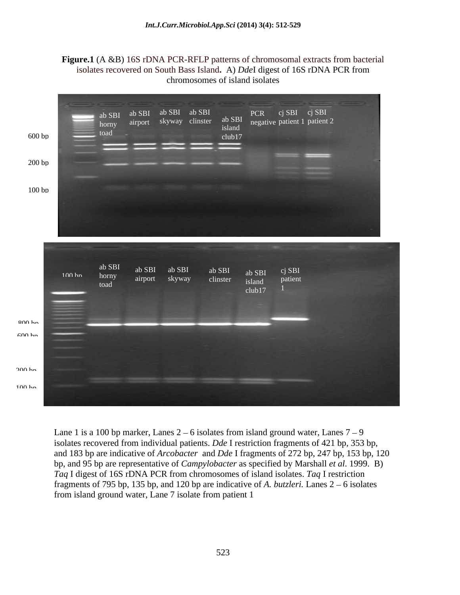### **Figure.1** (A &B) 16S rDNA PCR-RFLP patterns of chromosomal extracts from bacterial isolates recovered on South Bass Island**.** A) *Dde*I digest of 16S rDNA PCR from chromosomes of island isolates



Lane 1 is a 100 bp marker, Lanes  $2 - 6$  isolates from island ground water, Lanes  $7 - 9$ isolates recovered from individual patients. *Dde* I restriction fragments of 421 bp, 353 bp, and 183 bp are indicative of *Arcobacter* and *Dde* I fragments of 272 bp, 247 bp, 153 bp, 120 bp, and 95 bp are representative of *Campylobacter* as specified by Marshall *et al*. 1999. B) *Taq* I digest of 16S rDNA PCR from chromosomes of island isolates. *Taq* I restriction fragments of 795 bp, 135 bp, and 120 bp are indicative of *A. butzleri*. Lanes  $2 - 6$  isolates from island ground water, Lane 7 isolate from patient 1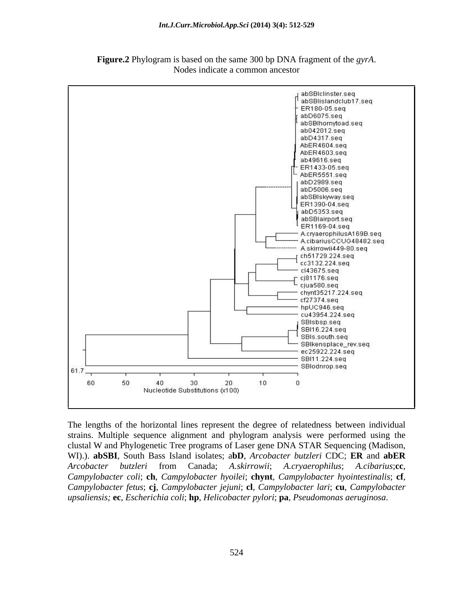



The lengths of the horizontal lines represent the degree of relatedness between individual strains. Multiple sequence alignment and phylogram analysis were performed using the clustal W and Phylogenetic Tree programs of Laser gene DNA STAR Sequencing (Madison, WI).). **abSBI**, South Bass Island isolates; a**bD**, *Arcobacter butzleri* CDC; **ER** and **abER** *Arcobacter butzleri* from Canada; *A.skirrowii*; *A.cryaerophilus*; *A.cibarius*;**cc**, *Campylobacter coli*; **ch**, *Campylobacter hyoilei*; **chynt**, *Campylobacter hyointestinalis*; **cf**, *Campylobacter fetus*; **cj**, *Campylobacter jejuni*; **cl**, *Campylobacter lari*; **cu**, *Campylobacter upsaliensis;* **ec**, *Escherichia coli*; **hp**, *Helicobacter pylori*; **pa**, *Pseudomonas aeruginosa*.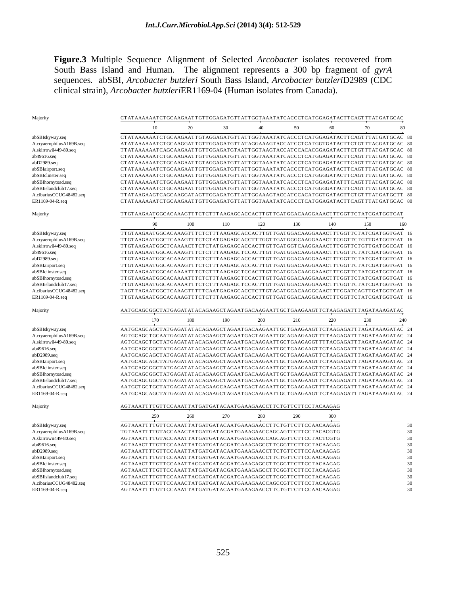**Figure.3** Multiple Sequence Alignment of Selected *Arcobacter* isolates recovered from South Bass Island and Human. The alignment represents a 300 bp fragment of *gyrA*  sequences*.* abSBI, *Arcobacter butzleri* South Bass Island, *Arcobacter butzleri*D2989 (CDC clinical strain), *Arcobacter butzleri*ER1169-04 (Human isolates from Canada).

|                          | CTATAAAAAATCTGCAAGAATTGTTGGAGATGTTATTGGTAAATATCACCCTCATGGAGATACTTCAGTTTATGATGCAC     |  |  |  |  |
|--------------------------|--------------------------------------------------------------------------------------|--|--|--|--|
|                          | 40 50 60<br>70<br>10<br>- 30                                                         |  |  |  |  |
| abSBIskyway.seq          | CTATAAAAAAATCTGCAAGAATTGTAGGAGATGTTATTGGTAAATATCACCCTCATGGAGATACTTCAGTTTATGATGCAC 80 |  |  |  |  |
| A.cryaerophilusA169B.seq | ATATAAAAAATCTGCAAGGATTGTTGGAGATGTTATAGGAAAGTACCATCCTCATGGTGATACTTCTGTTTACGATGCAC 80  |  |  |  |  |
| A.skirrowii449-80.seq    | TTATAAAAAATCAGCAAGAATTGTTGGAGATGTAATTGGTAAGTACCATCCACACGGAGATACTTCTGTTTATGATGCAC 80  |  |  |  |  |
| ab49616.seq              | CTATAAAAAATCTGCAAGAATTGTTGGAGATGTTATTGGTAAATATCACCCTCATGGAGATACTTCAGTTTATGATGCAC 80  |  |  |  |  |
| abD2989.seq              | CTATAAAAAATCTGCAAGAATTGTAGGAGATGTTATTGGTAAATATCACCCTCATGGAGATACTTCAGTTTATGATGCAC 80  |  |  |  |  |
| abSBIairport.seq         | CTATAAAAAATCTGCAAGAATTGTTGGAGATGTTATTGGTAAATATCACCCTCATGGAGATACTTCAGTTTATGATGCAC 80  |  |  |  |  |
| abSBIclinster.seq        | CTATAAAAAAATCTGCAAGAATTGTTGGAGATGTTATTGGTAAATATCACCCTCATGGGGATACTTCAGTTTATGATGCAC 80 |  |  |  |  |
| abSBIhornytoad.seq       | CTATAAAAAAATCTGCAAGAATTGTTGGAGATGTTATTGGTAAATATCACCCTCATGGAGATATTTCAGTTTATGATGCAC 80 |  |  |  |  |
| abSBIislandclub17.seq    | CTATAAAAAATCTGCAAGAATTGTTGGAGATGTTATTGGTAAATATCACCCTCATGGGGATACTTCAGTTTATGATGCAC 80  |  |  |  |  |
| A.cibariusCCUG48482.sec  | TTATAAGAAGTCAGCAAGGATAGTTGGAGATGTTATTGGAAAGTACCATCCACATGGTGATAGTTCTGTTTATGATGCTT 80  |  |  |  |  |
| ER1169-04-R.seq          | CTATAAAAAAATCTGCAAGAATTGTTGGAGATGTTATTGGTAAATATCACCCTCATGGAGATACTTCAGTTTATGATGCAC 80 |  |  |  |  |
|                          |                                                                                      |  |  |  |  |
| Majority                 | TTGTAAGAATGGCACAAAGTTTCTCTTTAAGAGCACCACTTGTTGATGGACAAGGAAACTTTGGTTCTATCGATGGTGAT     |  |  |  |  |
|                          | 110<br>120 130 140 150<br>-90<br>100<br>160                                          |  |  |  |  |
| abSBIskyway.seq          | TTGTAAGAATGGCACAAAGTTTCTCTTTAAGAGCACCACTTGTTGATGGACAAGGAAACTTTGGTTCTATCGATGGTGAT 16  |  |  |  |  |
| A.cryaerophilusA169B.seq | TTGTAAGAATGGCTCAAAGTTTCTCTATGAGAGCACCTTTGGTTGATGGCAAGGAAACTTCGGTTCTGTTGATGGTGAT 16   |  |  |  |  |
| A.skirrowii449-80.seq    | TTGTAAGAATGGCTCAAAACTTCTCTATGAGAGCACCACTTGTTGATGGTCAAGGAAACTTTGGTTCTGTTGATGGCGAT 16  |  |  |  |  |
| ib49616.seq              | TTGTAAGAATGGCACAAAGTTTCTCTTTAAGAGCTCCACTTGTTGATGGACAAGGAAACTTTGGTTCTATCGATGGTGAT 16  |  |  |  |  |
| abD2989.seq              | TTGTAAGAATGGCACAAAGTTTCTCTTTAAGAGCACCACTTGTTGATGGACAAGGAAACTTTGGTTCTATCGATGGTGAT 16  |  |  |  |  |
| abSBIairport.seq         | TIGTAAGAATGGCACAAAGTTTCTCTTTAAGAGCACCACTTGTTGATGGACAAGGAAACTTTGGTTCTATCGATGGTGAT_16  |  |  |  |  |
| abSBIclinster.seq        | TTGTAAGAATGGCACAAAATTTCTCTTTAAGAGCTCCACTTGTTGATGGACAAGGAAACTTTGGTTCTATCGATGGTGAT_16  |  |  |  |  |
| abSBIhornytoad.seq       | TTGTAAGAATGGCACAAAATTTCTCTTTAAGAGCTCCACTTGTTGATGGACAAGGAAACTTTGGTTCTATCGATGGTGAT 16  |  |  |  |  |
| abSBIislandclub17.seq    | TTGTAAGAATGGCACAAAATTTCTCTTTAAGAGCTCCACTTGTTGATGGACAAGGAAACTTTGGTTCTATCGATGGTGAT 16  |  |  |  |  |
| A.cibariusCCUG48482.seq  | TAGTTAGAATGGCTCAAAGTTTTTCAATGAGAGCACCTCTTGTAGATGGACAAGGCAACTTTGGATCAGTTGATGGTGAT 16  |  |  |  |  |
| ER1169-04-R.seq          | TTGTAAGAATGGCACAAAGTTTCTCTTTAAGAGCACCACTTGTTGATGGACAAGGAAACTTTGGTTCTATCGATGGTGAT 16  |  |  |  |  |
| Majority                 | AATGCAGCGGCTATGAGATATACAGAAGCTAGAATGACAAGAATTGCTGAAGAAGTTCTAAGAGATTTAGATAAAGATAC     |  |  |  |  |
|                          | 170<br>- 180<br>- 190<br>200<br>210<br>220<br>230                                    |  |  |  |  |
| abSBIskyway.seq          | AATGCAGCAGCTATGAGATATACAGAAGCTAGAATGACAAGAATTGCTGAAGAAGTTCTAAGAGATTTAGATAAGATAC 24   |  |  |  |  |
| A.cryaerophilusA169B.seq | AGTGCAGCTGCAATGAGATATACAGAAGCTAGAATGACTAGAATTGCAGAAGAAGTTTTAAGAGATTTAGATAAAGATAC 24  |  |  |  |  |
| A.skirrowii449-80.seq    | AGTGCAGCTGCTATGAGATATACAGAAGCTAGAATGACAAGAATTGCTGAAGAGGTTTTACGAGATTTAGATAAAGATAC 24  |  |  |  |  |
| ab49616.seq              | AATGCAGCGGCTATGAGATATACAGAAGCTAGAATGACAAGAATTGCTGAAGAAGTTCTAAGAGATTTAGATAAAGATAC 24  |  |  |  |  |
| abD2989.seq              | AATGCAGCAGCTATGAGATATACAGAAGCTAGAATGACAAGAATTGCTGAAGAAGTTCTAAGAGATTTAGATAAAGATAC 24  |  |  |  |  |
| abSBIairport.seq         | AATGCAGCAGCTATGAGATATACAGAAGCTAGAATGACAAGAATTGCTGAAGAAGTTCTAAGAGATTTAGATAAAGATAC 24  |  |  |  |  |
| abSBIclinster.seq        | AATGCAGCGGCTATGAGATATACAGAAGCTAGAATGACAAGAATTGCTGAAGAAGTTCTAAGAGATTTAGATAAAGATAC 24  |  |  |  |  |
| abSBIhornytoad.seq       | AATGCAGCGGCTATGAGATATACAGAAGCTAGAATGGAAGAATTGCTGAAGAAGTTCTAAGAGATTTAGATAAAGATAC 24   |  |  |  |  |
| abSBIislandclub17.seq    | AATGCAGCGGCTATGAGATATACAGAAGCTAGAATGACAAGAATTGCTGAAGAAGTTCTAAGAGATTTAGATAAAGATAC 24  |  |  |  |  |
| A.cibariusCCUG48482.seq  | AATGCTGCTGCTATGAGATATACAGAAGCAAGAATGGCTAGAATTGCTGAAGAAGTTTTAAGGGATTTAGATAAAGATAC 24  |  |  |  |  |
| ER1169-04-R.seq          | AATGCAGCAGCTATGAGATATACAGAAGCTAGAATGACAAGAATTGCTGAAGAAGTTCTAAGAGATTTAGATAAAGATAC 24  |  |  |  |  |
| Majority                 | AGTAAATTTTGTTCCAAATTATGATGATACAATGAAAGAACCTTCTGTTCTTCCTACAAGAG                       |  |  |  |  |
|                          | 270<br>280<br>300<br>250<br>260<br>290                                               |  |  |  |  |
| abSBIskyway.seq          | AGTAAATTTTGTTCCAAATTATGATGATACAATGAAAGAACCTTCTGTTCTTCCAACAAGAG                       |  |  |  |  |
| A.cryaerophilusA169B.seq | TGTAAATTTTGTACCAAACTATGATGATACGATGAAAGAACCAGCAGTTCTTCCTACACGTG                       |  |  |  |  |
| A.skirrowii449-80.seq    | AGT AAATTTTGTACCAAATTATGATGATACAATGAGAGAACCAGCAGTTCTTCCTACTCGTG                      |  |  |  |  |
| ab49616.seq              | AGTAAACTTTGTTCCAAATTATGATGATACGATGAAAGAGCCTTCGGTTCTTCCTACAAGAG                       |  |  |  |  |
| abD2989.seq              | AGTAAATTTTGTTCCAAATTATGATGATACAATGAAAGAACCTTCTGTTCTTCCAACAAGAG                       |  |  |  |  |
| abSBIairport.seq         | AGTAAATTTTGTTCCAAATTATGATGATACAATGAAAGAACCTTCTGTTCTTCCAACAAGAG                       |  |  |  |  |
| abSBIclinster.seq        | AGT AAACTTTGTTCCAAATTACGATGATACGATGAAAGAGCCTTCGGTTCTTCCTACAAGAG                      |  |  |  |  |
| abSBIhornytoad.seq       | AGTAAACTTTGTTCCAAATTATGATGATACGATGAAAGAGCCTTCGGTTCTTCCTACAAGAG                       |  |  |  |  |
| abSBIislandclub17.seq    | AGTAAACTTTGTTCCAAATTACGATGATACGATGAAAGAGCCTTCGGTTCTTCCTACAAGAG                       |  |  |  |  |
| A.cibariusCCUG48482.seq  | TGTAAACTTTGTTCCAAACTATGATGATACAATGAAAGAACCAGCCGTTCTTCCTACAAGAG                       |  |  |  |  |
| ER1169-04-R.seq          | AGTAAATTTTGTTCCAAATTATGATGATACAATGAAAGAACCTTCTGTTCTTCCAACAAGAG                       |  |  |  |  |
|                          |                                                                                      |  |  |  |  |
|                          |                                                                                      |  |  |  |  |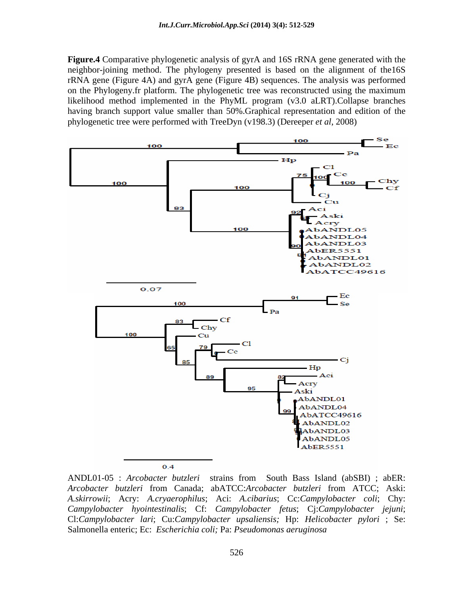**Figure.4** Comparative phylogenetic analysis of gyrA and 16S rRNA gene generated with the neighbor-joining method. The phylogeny presented is based on the alignment of the16S rRNA gene (Figure 4A) and gyrA gene (Figure 4B) sequences. The analysis was performed on the Phylogeny.fr platform. The phylogenetic tree wasreconstructed using the maximum likelihood method implemented in the PhyML program (v3.0 aLRT).Collapse branches having branch support value smaller than 50%.Graphical representation and edition of the phylogenetic tree were performed with TreeDyn (v198.3) (Dereeper *et al*, 2008)



 $0.4$ 

ANDL01-05 : *Arcobacter butzleri* strains from South Bass Island (abSBI) ; abER: *Arcobacter butzleri* from Canada; abATCC:*Arcobacter butzleri* from ATCC; Aski: *A.skirrowii*; Acry: *A.cryaerophilus*; Aci: *A.cibarius*; Cc:*Campylobacter coli*; Chy: *Campylobacter hyointestinalis*; Cf: *Campylobacter fetus*; Cj:*Campylobacter jejuni*; Cl:*Campylobacter lari*; Cu:*Campylobacter upsaliensis;* Hp: *Helicobacter pylori* ; Se: Salmonella enteric; Ec: *Escherichia coli;* Pa: *Pseudomonas aeruginosa*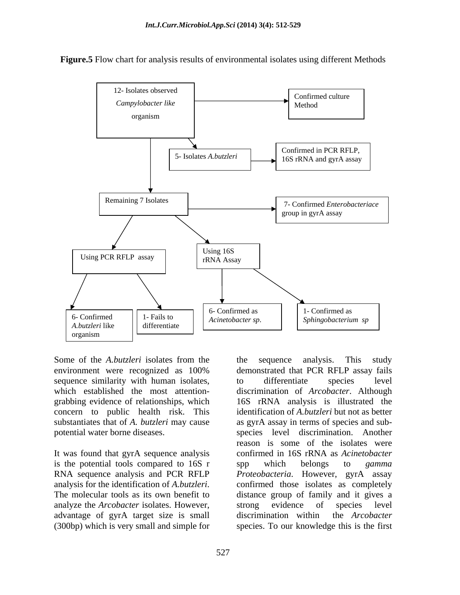

**Figure.5** Flow chart for analysis results of environmental isolates using different Methods

sequence similarity with human isolates, to differentiate species level which established the most attention grabbing evidence of relationships, which

It was found that gyrA sequence analysis is the potential tools compared to 16S r spp which belongs to *gamma* analyze the *Arcobacter* isolates. However, advantage of gyrA target size is small discrimination within the Arcobacter

Some of the *A.butzleri* isolates from the the sequence analysis. This study environment were recognized as 100% concern to public health risk. This identification of *A.butzleri* but not as better substantiates that of *A. butzleri* may cause as gyrA assay in terms of species and subpotential water borne diseases. species level discrimination. Another RNA sequence analysis and PCR RFLP *Proteobacteria*. However, gyrA assay analysis for the identification of *A.butzleri*. confirmed those isolates as completely<br>The molecular tools as its own benefit to distance group of family and it gives a (300bp) which is very small and simple for species. To our knowledge this is the first the sequence analysis. This study demonstrated that PCR RFLP assay fails to differentiate species level discrimination of *Arcobacter*. Although 16S rRNA analysis is illustrated the reason is some of the isolates were confirmed in 16S rRNA as *Acinetobacter*  spp which belongs to *gamma*  confirmed those isolates as completely distance group of family and it gives a strong evidence of species level discrimination within the *Arcobacter*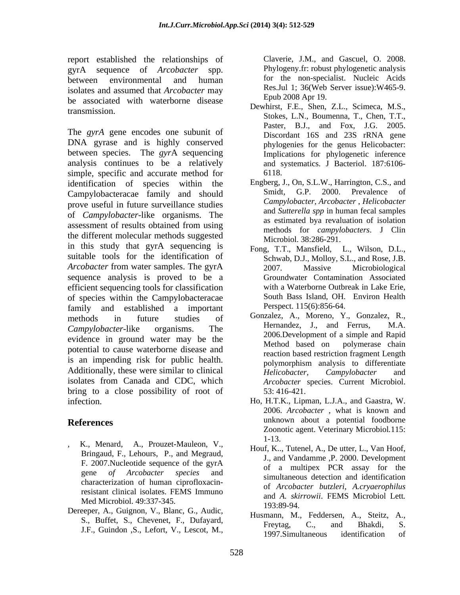report established the relationships of Claverie, J.M., and Gascuel, O. 2008.<br>
gyrA sequence of *Arcobacter* spp. Phylogeny.fr: robust phylogenetic analysis gyrA sequence of *Arcobacter* spp. Bhylogeny.fr: robust phylogenetic analysis<br>between environmental and human for the non-specialist. Nucleic Acids isolates and assumed that *Arcobacter* may be associated with waterborne disease

The *gyrA* gene encodes one subunit of DNA gyrase and is highly conserved between species. The *gyr*A sequencing analysis continues to be a relatively simple, specific and accurate method for 6118. identification of species within the Engberg, J., On, S.L.W., Harrington, C.S.<br>Campylohacteraces family and should Smidt, G.P. 2000. Prevalence Campylobacteracae family and should Smidt, G.P. 2000. Prevalence of prove useful in future surveillance studies of *Campylobacter*-like organisms. The assessment of results obtained from using<br>mothods for equipole<br>ataxs. I Clin the different molecular methods suggested in this study that gyrA sequencing is suitable tools for the identification of *Arcobacter* from water samples. The gyrA 2007. Massive Microbiological sequence analysis is proved to be a efficient sequencing tools for classification of species within the Campylobacteracae family and established a important methods in future studies of Gonzalez, A., Moreno, Y., Gonzalez, R., *Campylobacter*-like organisms. The **Example of the Campylobacter-like** organisms. The **Campylobacter**-like evidence in ground water may be the<br>Method based on polymerase chain potential to cause waterborne disease and is an impending risk for public health. polymorphism analysis to differentiate Additionally, these were similar to clinical *Helicobacter*, *Campylobacter* and isolates from Canada and CDC, which *Arcobacter* species. Current Microbiol. bring to a close possibility of root of 53:416-421. st equal the check of control of the cheaperts. A., Chevenet, F., Chevenet, Chevenet, The analysis of the state of the state of the state of the state of the state of the state of the state of the state of the state of th

- K., Menard, A., Prouzet-Mauleon, V.,  $\begin{bmatrix} 1 & -13 \\ 1 & 6 \end{bmatrix}$ Bringaud, F., Lehours, P., and Megraud, characterization of human ciprofloxacinresistant clinical isolates. FEMS Immuno Med Microbiol. 49:337-345. **Med Microbiol.** 49:337-345. **Manufacture** 193:89-94.
- Dereeper, A., Guignon, V., Blanc, G., Audic,

for the non-specialist. Nucleic Acids Res.Jul 1; 36(Web Server issue):W465-9. Epub 2008 Apr 19.

- transmission.<br>Stokes, L.N., Boumenna, T., Chen, T.T., Dewhirst, F.E., Shen, Z.L., Scimeca, M.S., Paster, B.J., and Fox, J.G. 2005. Discordant 16S and 23S rRNA gene phylogenies for the genus Helicobacter: Implications for phylogenetic inference and systematics. J Bacteriol. 187:6106- 6118.
	- Engberg, J., On, S.L.W., Harrington, C.S., and Smidt, G.P. 2000. Prevalence of *Campylobacter*, *Arcobacter* , *Helicobacter* and *Sutterella spp* in human fecal samples as estimated bya revaluation of isolation methods for *campylobacters*. J Clin Microbiol. 38:286-291.
	- Fong, T.T., Mansfield, L., Wilson, D.L., Schwab, D.J., Molloy, S.L., and Rose, J.B. 2007. Massive Microbiological Groundwater Contamination Associated with a Waterborne Outbreak in Lake Erie, South Bass Island, OH. Environ Health Perspect. 115(6):856-64.
	- Gonzalez, A., Moreno, Y., Gonzalez, R., Hernandez, J., and Ferrus, M.A. 2006.Development of a simple and Rapid Method based on polymerase chain reaction based restriction fragment Length polymorphism analysis to differentiate *Helicobacter*, *Campylobacter* and *Arcobacter* species. Current Microbiol. 53: 416-421.
- infection. Ho, H.T.K., Lipman, L.J.A., and Gaastra, W. **References** and the unknown about a potential foodborne and the set of the set of the set of the set of the set of the set of the set of the set of the set of the set of the set of the set of the set of the set of the set 2006. *Arcobacter* , what is known and Zoonotic agent. Veterinary Microbiol*.*115: 1-13.
	- F. 2007. Nucleotide sequence of the gyrA  $\sigma_{\text{f}}^{\text{f}}$  a multipox  $\frac{DCD}{DCD}$  association for the gene *of Arcobacter species* and Houf, K.., Tutenel, A., De utter, L., Van Hoof, J., and Vandamme ,P. 2000. Development of a multipex PCR assay for the simultaneous detection and identification of *Arcobacter butzleri*, *A.cryaerophilus* and *A. skirrowii*. FEMS Microbiol Lett*.* 193:89-94.
		- Husmann, M., Feddersen, A., Steitz, A., Freytag, C., and Bhakdi, S. 1997.Simultaneous identification of